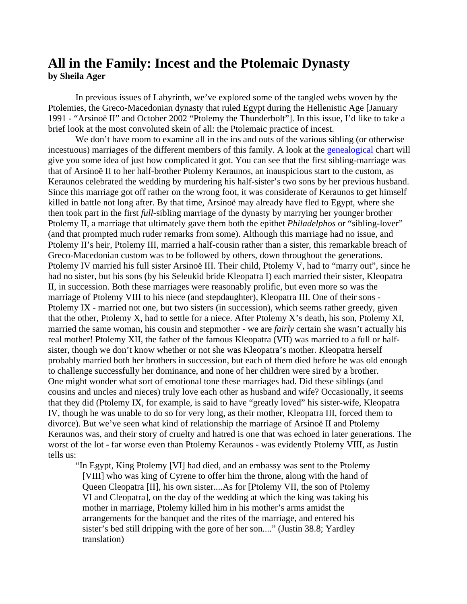## **All in the Family: Incest and the Ptolemaic Dynasty by Sheila Ager**

In previous issues of Labyrinth, we've explored some of the tangled webs woven by the Ptolemies, the Greco-Macedonian dynasty that ruled Egypt during the Hellenistic Age [January 1991 - "Arsinoë II" and October 2002 "Ptolemy the Thunderbolt"]. In this issue, I'd like to take a brief look at the most convoluted skein of all: the Ptolemaic practice of incest.

We don't have room to examine all in the ins and outs of the various sibling (or otherwise incestuous) marriages of the different members of this family. A look at the [genealogical c](http://arts.uwaterloo.ca/CLASS/labyrinth/issue79/genealogy.pdf)hart will give you some idea of just how complicated it got. You can see that the first sibling-marriage was that of Arsinoë II to her half-brother Ptolemy Keraunos, an inauspicious start to the custom, as Keraunos celebrated the wedding by murdering his half-sister's two sons by her previous husband. Since this marriage got off rather on the wrong foot, it was considerate of Keraunos to get himself killed in battle not long after. By that time, Arsinoë may already have fled to Egypt, where she then took part in the first *full*-sibling marriage of the dynasty by marrying her younger brother Ptolemy II, a marriage that ultimately gave them both the epithet *Philadelphos* or "sibling-lover" (and that prompted much ruder remarks from some). Although this marriage had no issue, and Ptolemy II's heir, Ptolemy III, married a half-cousin rather than a sister, this remarkable breach of Greco-Macedonian custom was to be followed by others, down throughout the generations. Ptolemy IV married his full sister Arsinoë III. Their child, Ptolemy V, had to "marry out", since he had no sister, but his sons (by his Seleukid bride Kleopatra I) each married their sister, Kleopatra II, in succession. Both these marriages were reasonably prolific, but even more so was the marriage of Ptolemy VIII to his niece (and stepdaughter), Kleopatra III. One of their sons - Ptolemy IX - married not one, but two sisters (in succession), which seems rather greedy, given that the other, Ptolemy X, had to settle for a niece. After Ptolemy X's death, his son, Ptolemy XI, married the same woman, his cousin and stepmother - we are *fairly* certain she wasn't actually his real mother! Ptolemy XII, the father of the famous Kleopatra (VII) was married to a full or halfsister, though we don't know whether or not she was Kleopatra's mother. Kleopatra herself probably married both her brothers in succession, but each of them died before he was old enough to challenge successfully her dominance, and none of her children were sired by a brother. One might wonder what sort of emotional tone these marriages had. Did these siblings (and cousins and uncles and nieces) truly love each other as husband and wife? Occasionally, it seems that they did (Ptolemy IX, for example, is said to have "greatly loved" his sister-wife, Kleopatra IV, though he was unable to do so for very long, as their mother, Kleopatra III, forced them to divorce). But we've seen what kind of relationship the marriage of Arsinoë II and Ptolemy Keraunos was, and their story of cruelty and hatred is one that was echoed in later generations. The worst of the lot - far worse even than Ptolemy Keraunos - was evidently Ptolemy VIII, as Justin tells us:

"In Egypt, King Ptolemy [VI] had died, and an embassy was sent to the Ptolemy [VIII] who was king of Cyrene to offer him the throne, along with the hand of Queen Cleopatra [II], his own sister....As for [Ptolemy VII, the son of Ptolemy VI and Cleopatra], on the day of the wedding at which the king was taking his mother in marriage, Ptolemy killed him in his mother's arms amidst the arrangements for the banquet and the rites of the marriage, and entered his sister's bed still dripping with the gore of her son...." (Justin 38.8; Yardley translation)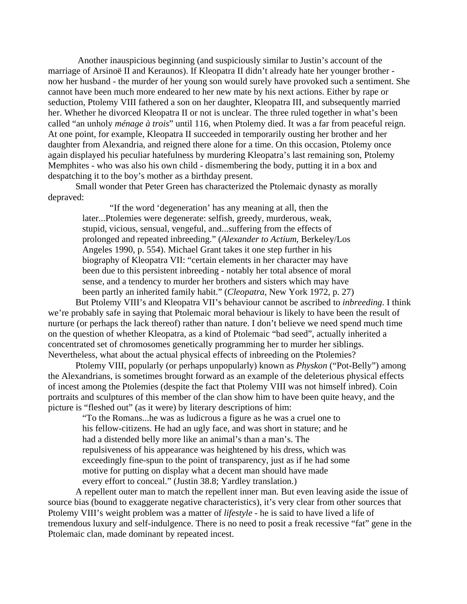Another inauspicious beginning (and suspiciously similar to Justin's account of the marriage of Arsinoë II and Keraunos). If Kleopatra II didn't already hate her younger brother now her husband - the murder of her young son would surely have provoked such a sentiment. She cannot have been much more endeared to her new mate by his next actions. Either by rape or seduction, Ptolemy VIII fathered a son on her daughter, Kleopatra III, and subsequently married her. Whether he divorced Kleopatra II or not is unclear. The three ruled together in what's been called "an unholy *ménage à trois*" until 116, when Ptolemy died. It was a far from peaceful reign. At one point, for example, Kleopatra II succeeded in temporarily ousting her brother and her daughter from Alexandria, and reigned there alone for a time. On this occasion, Ptolemy once again displayed his peculiar hatefulness by murdering Kleopatra's last remaining son, Ptolemy Memphites - who was also his own child - dismembering the body, putting it in a box and despatching it to the boy's mother as a birthday present.

Small wonder that Peter Green has characterized the Ptolemaic dynasty as morally depraved:

> "If the word 'degeneration' has any meaning at all, then the later...Ptolemies were degenerate: selfish, greedy, murderous, weak, stupid, vicious, sensual, vengeful, and...suffering from the effects of prolonged and repeated inbreeding." (*Alexander to Actium*, Berkeley/Los Angeles 1990, p. 554). Michael Grant takes it one step further in his biography of Kleopatra VII: "certain elements in her character may have been due to this persistent inbreeding - notably her total absence of moral sense, and a tendency to murder her brothers and sisters which may have been partly an inherited family habit." (*Cleopatra*, New York 1972, p. 27)

But Ptolemy VIII's and Kleopatra VII's behaviour cannot be ascribed to *inbreeding*. I think we're probably safe in saying that Ptolemaic moral behaviour is likely to have been the result of nurture (or perhaps the lack thereof) rather than nature. I don't believe we need spend much time on the question of whether Kleopatra, as a kind of Ptolemaic "bad seed", actually inherited a concentrated set of chromosomes genetically programming her to murder her siblings. Nevertheless, what about the actual physical effects of inbreeding on the Ptolemies?

Ptolemy VIII, popularly (or perhaps unpopularly) known as *Physkon* ("Pot-Belly") among the Alexandrians, is sometimes brought forward as an example of the deleterious physical effects of incest among the Ptolemies (despite the fact that Ptolemy VIII was not himself inbred). Coin portraits and sculptures of this member of the clan show him to have been quite heavy, and the picture is "fleshed out" (as it were) by literary descriptions of him:

"To the Romans...he was as ludicrous a figure as he was a cruel one to his fellow-citizens. He had an ugly face, and was short in stature; and he had a distended belly more like an animal's than a man's. The repulsiveness of his appearance was heightened by his dress, which was exceedingly fine-spun to the point of transparency, just as if he had some motive for putting on display what a decent man should have made every effort to conceal." (Justin 38.8; Yardley translation.)

A repellent outer man to match the repellent inner man. But even leaving aside the issue of source bias (bound to exaggerate negative characteristics), it's very clear from other sources that Ptolemy VIII's weight problem was a matter of *lifestyle* - he is said to have lived a life of tremendous luxury and self-indulgence. There is no need to posit a freak recessive "fat" gene in the Ptolemaic clan, made dominant by repeated incest.